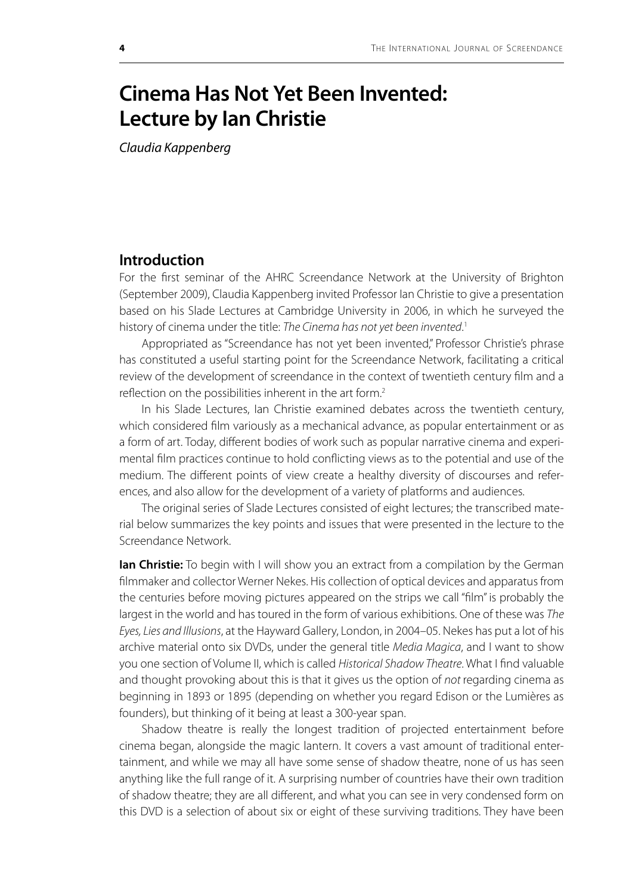## **Cinema Has Not Yet Been Invented: Lecture by Ian Christie**

*Claudia Kappenberg*

## **Introduction**

For the first seminar of the AHRC Screendance Network at the University of Brighton (September 2009), Claudia Kappenberg invited Professor Ian Christie to give a presentation based on his Slade Lectures at Cambridge University in 2006, in which he surveyed the history of cinema under the title: *The Cinema has not yet been invented*. 1

Appropriated as "Screendance has not yet been invented," Professor Christie's phrase has constituted a useful starting point for the Screendance Network, facilitating a critical review of the development of screendance in the context of twentieth century film and a reflection on the possibilities inherent in the art form.<sup>2</sup>

In his Slade Lectures, Ian Christie examined debates across the twentieth century, which considered film variously as a mechanical advance, as popular entertainment or as a form of art. Today, different bodies of work such as popular narrative cinema and experimental film practices continue to hold conflicting views as to the potential and use of the medium. The different points of view create a healthy diversity of discourses and references, and also allow for the development of a variety of platforms and audiences.

The original series of Slade Lectures consisted of eight lectures; the transcribed material below summarizes the key points and issues that were presented in the lecture to the Screendance Network.

**Ian Christie:** To begin with I will show you an extract from a compilation by the German filmmaker and collector Werner Nekes. His collection of optical devices and apparatus from the centuries before moving pictures appeared on the strips we call "film" is probably the largest in the world and has toured in the form of various exhibitions. One of these was *The Eyes, Lies and Illusions*, at the Hayward Gallery, London, in 2004–05. Nekes has put a lot of his archive material onto six DVDs, under the general title *Media Magica*, and I want to show you one section of Volume II, which is called *Historical Shadow Theatre*. What I find valuable and thought provoking about this is that it gives us the option of *not* regarding cinema as beginning in 1893 or 1895 (depending on whether you regard Edison or the Lumières as founders), but thinking of it being at least a 300-year span.

Shadow theatre is really the longest tradition of projected entertainment before cinema began, alongside the magic lantern. It covers a vast amount of traditional entertainment, and while we may all have some sense of shadow theatre, none of us has seen anything like the full range of it. A surprising number of countries have their own tradition of shadow theatre; they are all different, and what you can see in very condensed form on this DVD is a selection of about six or eight of these surviving traditions. They have been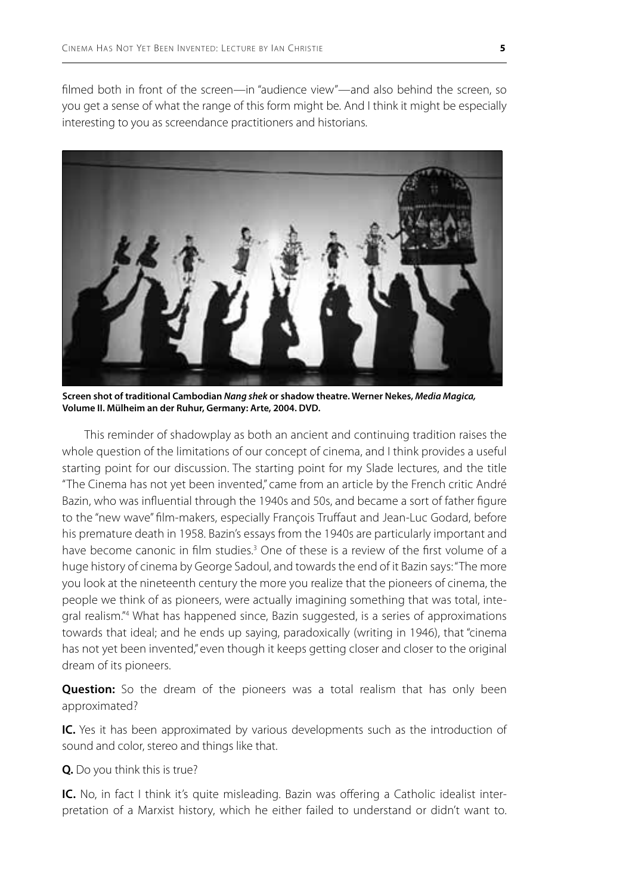filmed both in front of the screen—in "audience view"—and also behind the screen, so you get a sense of what the range of this form might be. And I think it might be especially interesting to you as screendance practitioners and historians.



**Screen shot of traditional Cambodian** *Nang shek* **or shadow theatre. Werner Nekes,** *Media Magica,*  **Volume II. Mülheim an der Ruhur, Germany: Arte, 2004. DVD.**

This reminder of shadowplay as both an ancient and continuing tradition raises the whole question of the limitations of our concept of cinema, and I think provides a useful starting point for our discussion. The starting point for my Slade lectures, and the title "The Cinema has not yet been invented," came from an article by the French critic André Bazin, who was influential through the 1940s and 50s, and became a sort of father figure to the "new wave" film-makers, especially François Truffaut and Jean-Luc Godard, before his premature death in 1958. Bazin's essays from the 1940s are particularly important and have become canonic in film studies.<sup>3</sup> One of these is a review of the first volume of a huge history of cinema by George Sadoul, and towards the end of it Bazin says: "The more you look at the nineteenth century the more you realize that the pioneers of cinema, the people we think of as pioneers, were actually imagining something that was total, integral realism."4 What has happened since, Bazin suggested, is a series of approximations towards that ideal; and he ends up saying, paradoxically (writing in 1946), that "cinema has not yet been invented," even though it keeps getting closer and closer to the original dream of its pioneers.

**Question:** So the dream of the pioneers was a total realism that has only been approximated?

**IC.** Yes it has been approximated by various developments such as the introduction of sound and color, stereo and things like that.

**Q.** Do you think this is true?

**IC.** No, in fact I think it's quite misleading. Bazin was offering a Catholic idealist interpretation of a Marxist history, which he either failed to understand or didn't want to.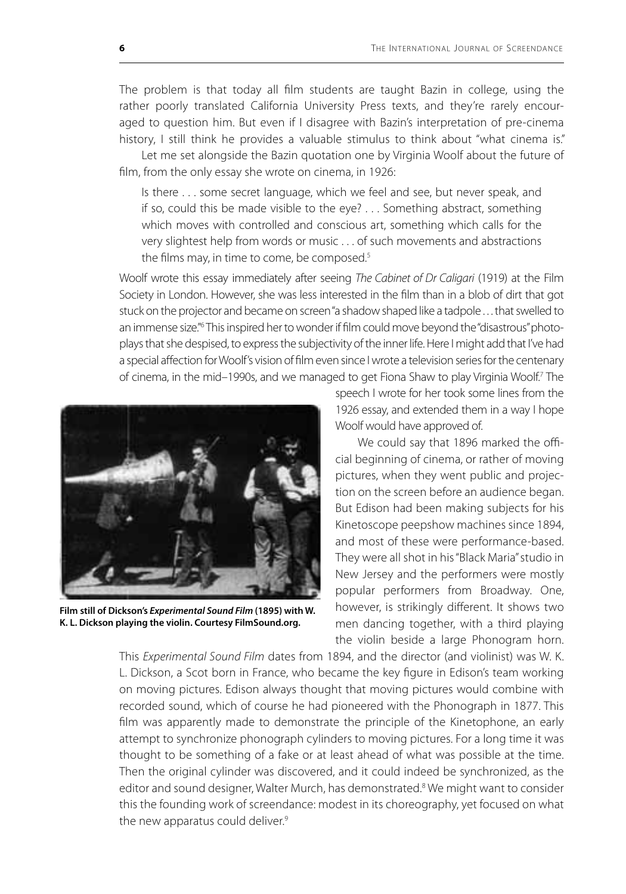The problem is that today all film students are taught Bazin in college, using the rather poorly translated California University Press texts, and they're rarely encouraged to question him. But even if I disagree with Bazin's interpretation of pre-cinema history, I still think he provides a valuable stimulus to think about "what cinema is."

Let me set alongside the Bazin quotation one by Virginia Woolf about the future of film, from the only essay she wrote on cinema, in 1926:

Is there . . . some secret language, which we feel and see, but never speak, and if so, could this be made visible to the eye? . . . Something abstract, something which moves with controlled and conscious art, something which calls for the very slightest help from words or music . . . of such movements and abstractions the films may, in time to come, be composed.<sup>5</sup>

Woolf wrote this essay immediately after seeing *The Cabinet of Dr Caligari* (1919) at the Film Society in London. However, she was less interested in the film than in a blob of dirt that got stuck on the projector and became on screen "a shadow shaped like a tadpole . . . that swelled to an immense size."<sup>6</sup> This inspired her to wonder if film could move beyond the "disastrous" photoplays that she despised, to express the subjectivity of the inner life. Here I might add that I've had a special affection for Woolf's vision of film even since I wrote a television series for the centenary of cinema, in the mid–1990s, and we managed to get Fiona Shaw to play Virginia Woolf.<sup>7</sup> The



**Film still of Dickson's** *Experimental Sound Film* **(1895) with W. K. L. Dickson playing the violin. Courtesy FilmSound.org.**

speech I wrote for her took some lines from the 1926 essay, and extended them in a way I hope Woolf would have approved of.

We could say that 1896 marked the official beginning of cinema, or rather of moving pictures, when they went public and projection on the screen before an audience began. But Edison had been making subjects for his Kinetoscope peepshow machines since 1894, and most of these were performance-based. They were all shot in his "Black Maria" studio in New Jersey and the performers were mostly popular performers from Broadway. One, however, is strikingly different. It shows two men dancing together, with a third playing the violin beside a large Phonogram horn.

This *Experimental Sound Film* dates from 1894, and the director (and violinist) was W. K. L. Dickson, a Scot born in France, who became the key figure in Edison's team working on moving pictures. Edison always thought that moving pictures would combine with recorded sound, which of course he had pioneered with the Phonograph in 1877. This film was apparently made to demonstrate the principle of the Kinetophone, an early attempt to synchronize phonograph cylinders to moving pictures. For a long time it was thought to be something of a fake or at least ahead of what was possible at the time. Then the original cylinder was discovered, and it could indeed be synchronized, as the editor and sound designer, Walter Murch, has demonstrated.<sup>8</sup> We might want to consider this the founding work of screendance: modest in its choreography, yet focused on what the new apparatus could deliver.<sup>9</sup>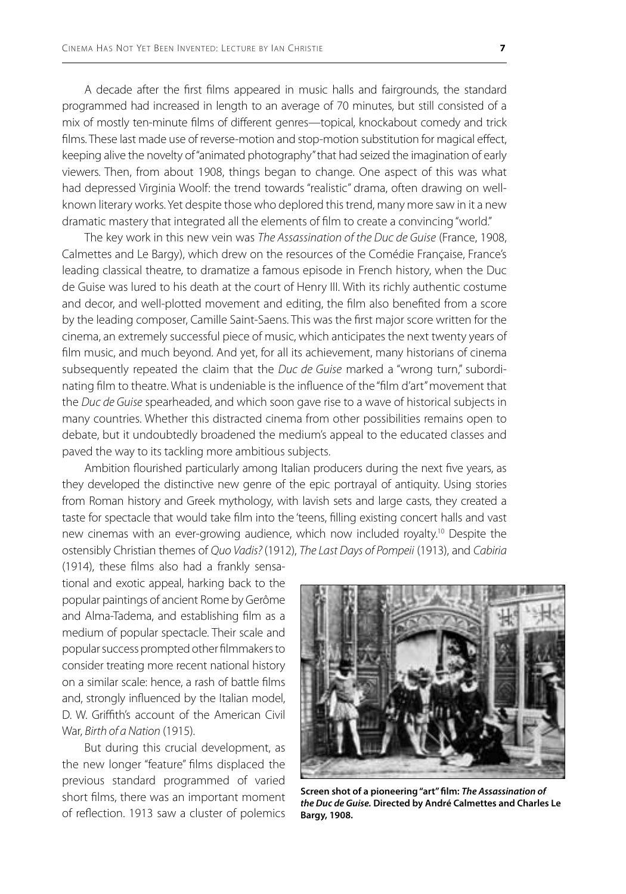A decade after the first films appeared in music halls and fairgrounds, the standard programmed had increased in length to an average of 70 minutes, but still consisted of a mix of mostly ten-minute films of different genres—topical, knockabout comedy and trick films. These last made use of reverse-motion and stop-motion substitution for magical effect, keeping alive the novelty of "animated photography" that had seized the imagination of early viewers. Then, from about 1908, things began to change. One aspect of this was what had depressed Virginia Woolf: the trend towards "realistic" drama, often drawing on wellknown literary works. Yet despite those who deplored this trend, many more saw in it a new dramatic mastery that integrated all the elements of film to create a convincing "world."

The key work in this new vein was *The Assassination of the Duc de Guise* (France, 1908, Calmettes and Le Bargy), which drew on the resources of the Comédie Française, France's leading classical theatre, to dramatize a famous episode in French history, when the Duc de Guise was lured to his death at the court of Henry III. With its richly authentic costume and decor, and well-plotted movement and editing, the film also benefited from a score by the leading composer, Camille Saint-Saens. This was the first major score written for the cinema, an extremely successful piece of music, which anticipates the next twenty years of film music, and much beyond. And yet, for all its achievement, many historians of cinema subsequently repeated the claim that the *Duc de Guise* marked a "wrong turn," subordinating film to theatre. What is undeniable is the influence of the "film d'art" movement that the *Duc de Guise* spearheaded, and which soon gave rise to a wave of historical subjects in many countries. Whether this distracted cinema from other possibilities remains open to debate, but it undoubtedly broadened the medium's appeal to the educated classes and paved the way to its tackling more ambitious subjects.

Ambition flourished particularly among Italian producers during the next five years, as they developed the distinctive new genre of the epic portrayal of antiquity. Using stories from Roman history and Greek mythology, with lavish sets and large casts, they created a taste for spectacle that would take film into the 'teens, filling existing concert halls and vast new cinemas with an ever-growing audience, which now included royalty.<sup>10</sup> Despite the ostensibly Christian themes of *Quo Vadis?* (1912), *The Last Days of Pompeii* (1913), and *Cabiria*

(1914), these films also had a frankly sensational and exotic appeal, harking back to the popular paintings of ancient Rome by Gerôme and Alma-Tadema, and establishing film as a medium of popular spectacle. Their scale and popular success prompted other filmmakers to consider treating more recent national history on a similar scale: hence, a rash of battle films and, strongly influenced by the Italian model, D. W. Griffith's account of the American Civil War, *Birth of a Nation* (1915).

But during this crucial development, as the new longer "feature" films displaced the previous standard programmed of varied short films, there was an important moment of reflection. 1913 saw a cluster of polemics



**Screen shot of a pioneering "art" film:** *The Assassination of the Duc de Guise.* **Directed by André Calmettes and Charles Le Bargy, 1908.**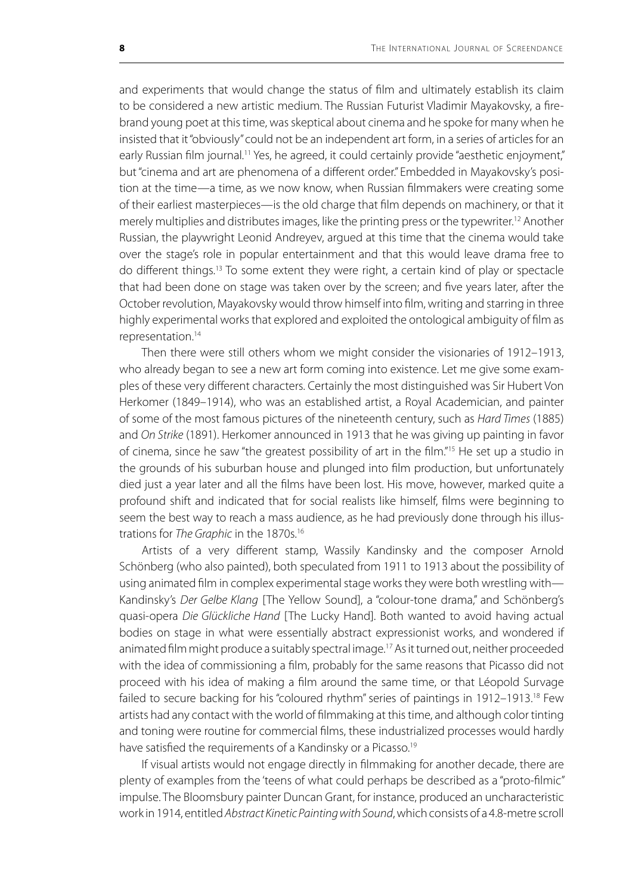and experiments that would change the status of film and ultimately establish its claim to be considered a new artistic medium. The Russian Futurist Vladimir Mayakovsky, a firebrand young poet at this time, was skeptical about cinema and he spoke for many when he insisted that it "obviously" could not be an independent art form, in a series of articles for an early Russian film journal.<sup>11</sup> Yes, he agreed, it could certainly provide "aesthetic enjoyment," but "cinema and art are phenomena of a different order." Embedded in Mayakovsky's position at the time—a time, as we now know, when Russian filmmakers were creating some of their earliest masterpieces—is the old charge that film depends on machinery, or that it merely multiplies and distributes images, like the printing press or the typewriter.<sup>12</sup> Another Russian, the playwright Leonid Andreyev, argued at this time that the cinema would take over the stage's role in popular entertainment and that this would leave drama free to do different things.<sup>13</sup> To some extent they were right, a certain kind of play or spectacle that had been done on stage was taken over by the screen; and five years later, after the October revolution, Mayakovsky would throw himself into film, writing and starring in three highly experimental works that explored and exploited the ontological ambiguity of film as representation.<sup>14</sup>

Then there were still others whom we might consider the visionaries of 1912–1913, who already began to see a new art form coming into existence. Let me give some examples of these very different characters. Certainly the most distinguished was Sir Hubert Von Herkomer (1849–1914), who was an established artist, a Royal Academician, and painter of some of the most famous pictures of the nineteenth century, such as *Hard Times* (1885) and *On Strike* (1891). Herkomer announced in 1913 that he was giving up painting in favor of cinema, since he saw "the greatest possibility of art in the film."<sup>15</sup> He set up a studio in the grounds of his suburban house and plunged into film production, but unfortunately died just a year later and all the films have been lost. His move, however, marked quite a profound shift and indicated that for social realists like himself, films were beginning to seem the best way to reach a mass audience, as he had previously done through his illustrations for *The Graphic* in the 1870s.16

Artists of a very different stamp, Wassily Kandinsky and the composer Arnold Schönberg (who also painted), both speculated from 1911 to 1913 about the possibility of using animated film in complex experimental stage works they were both wrestling with— Kandinsky's *Der Gelbe Klang* [The Yellow Sound], a "colour-tone drama," and Schönberg's quasi-opera *Die Glückliche Hand* [The Lucky Hand]. Both wanted to avoid having actual bodies on stage in what were essentially abstract expressionist works, and wondered if animated film might produce a suitably spectral image.<sup>17</sup> As it turned out, neither proceeded with the idea of commissioning a film, probably for the same reasons that Picasso did not proceed with his idea of making a film around the same time, or that Léopold Survage failed to secure backing for his "coloured rhythm" series of paintings in 1912–1913.<sup>18</sup> Few artists had any contact with the world of filmmaking at this time, and although color tinting and toning were routine for commercial films, these industrialized processes would hardly have satisfied the requirements of a Kandinsky or a Picasso.<sup>19</sup>

If visual artists would not engage directly in filmmaking for another decade, there are plenty of examples from the 'teens of what could perhaps be described as a "proto-filmic" impulse. The Bloomsbury painter Duncan Grant, for instance, produced an uncharacteristic work in 1914, entitled *Abstract Kinetic Painting with Sound*, which consists of a 4.8-metre scroll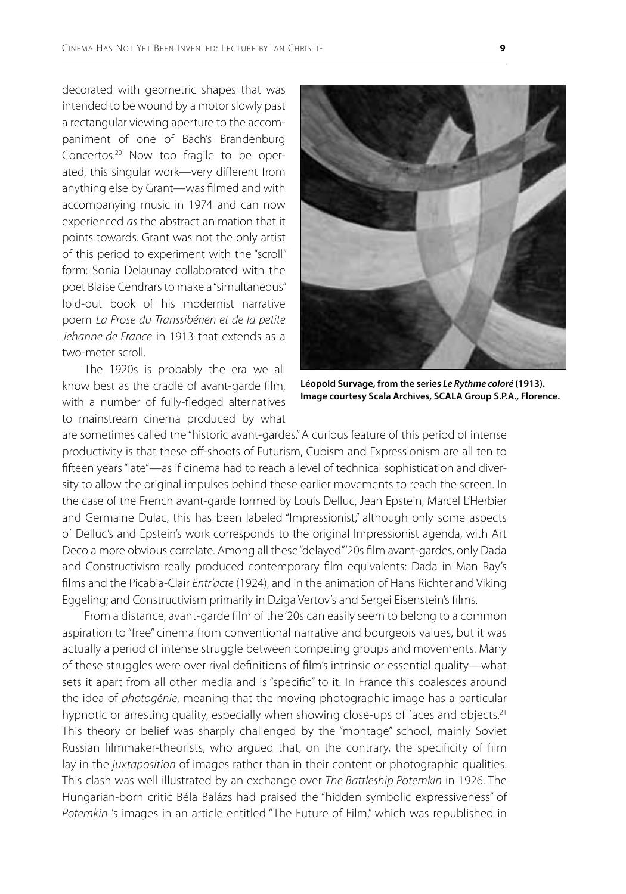decorated with geometric shapes that was intended to be wound by a motor slowly past a rectangular viewing aperture to the accompaniment of one of Bach's Brandenburg Concertos.20 Now too fragile to be operated, this singular work—very different from anything else by Grant—was filmed and with accompanying music in 1974 and can now experienced *as* the abstract animation that it points towards. Grant was not the only artist of this period to experiment with the "scroll" form: Sonia Delaunay collaborated with the poet Blaise Cendrars to make a "simultaneous" fold-out book of his modernist narrative poem *La Prose du Transsibérien et de la petite Jehanne de France* in 1913 that extends as a two-meter scroll.

The 1920s is probably the era we all know best as the cradle of avant-garde film, with a number of fully-fledged alternatives to mainstream cinema produced by what



**Léopold Survage, from the series** *Le Rythme coloré* **(1913). Image courtesy Scala Archives, SCALA Group S.P.A., Florence.**

are sometimes called the "historic avant-gardes." A curious feature of this period of intense productivity is that these off-shoots of Futurism, Cubism and Expressionism are all ten to fifteen years "late"—as if cinema had to reach a level of technical sophistication and diversity to allow the original impulses behind these earlier movements to reach the screen. In the case of the French avant-garde formed by Louis Delluc, Jean Epstein, Marcel L'Herbier and Germaine Dulac, this has been labeled "Impressionist," although only some aspects of Delluc's and Epstein's work corresponds to the original Impressionist agenda, with Art Deco a more obvious correlate. Among all these "delayed" '20s film avant-gardes, only Dada and Constructivism really produced contemporary film equivalents: Dada in Man Ray's films and the Picabia-Clair *Entr'acte* (1924), and in the animation of Hans Richter and Viking Eggeling; and Constructivism primarily in Dziga Vertov's and Sergei Eisenstein's films.

From a distance, avant-garde film of the '20s can easily seem to belong to a common aspiration to "free" cinema from conventional narrative and bourgeois values, but it was actually a period of intense struggle between competing groups and movements. Many of these struggles were over rival definitions of film's intrinsic or essential quality—what sets it apart from all other media and is "specific" to it. In France this coalesces around the idea of *photogénie*, meaning that the moving photographic image has a particular hypnotic or arresting quality, especially when showing close-ups of faces and objects.<sup>21</sup> This theory or belief was sharply challenged by the "montage" school, mainly Soviet Russian filmmaker-theorists, who argued that, on the contrary, the specificity of film lay in the *juxtaposition* of images rather than in their content or photographic qualities. This clash was well illustrated by an exchange over *The Battleship Potemkin* in 1926. The Hungarian-born critic Béla Balázs had praised the "hidden symbolic expressiveness" of *Potemkin* 's images in an article entitled "The Future of Film," which was republished in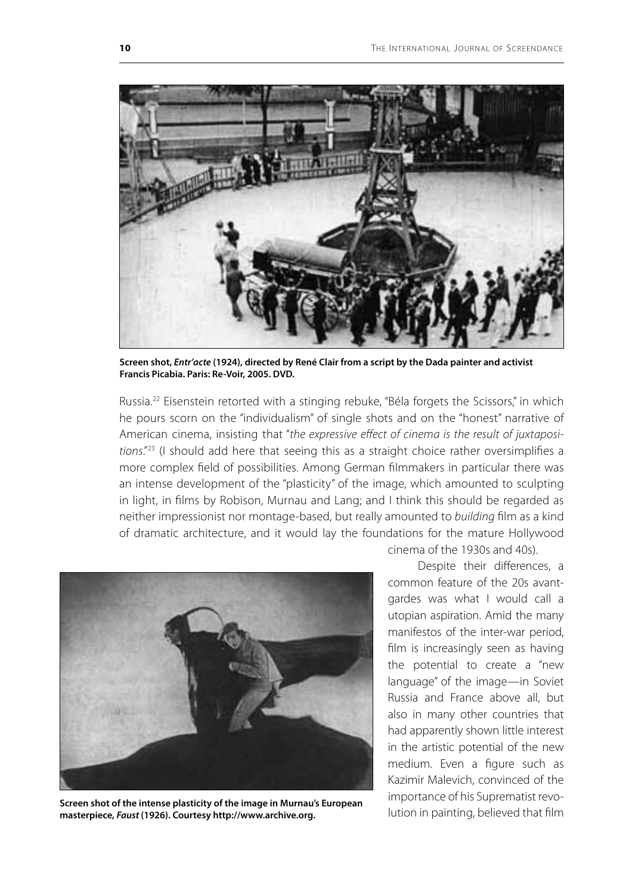

**Screen shot,** *Entr'acte* **(1924), directed by René Clair from a script by the Dada painter and activist Francis Picabia. Paris: Re-Voir, 2005. DVD.**

Russia.<sup>22</sup> Eisenstein retorted with a stinging rebuke, "Béla forgets the Scissors," in which he pours scorn on the "individualism" of single shots and on the "honest" narrative of American cinema, insisting that "*the expressive effect of cinema is the result of juxtapositions*."23 (I should add here that seeing this as a straight choice rather oversimplifies a more complex field of possibilities. Among German filmmakers in particular there was an intense development of the "plasticity" of the image, which amounted to sculpting in light, in films by Robison, Murnau and Lang; and I think this should be regarded as neither impressionist nor montage-based, but really amounted to *building* film as a kind of dramatic architecture, and it would lay the foundations for the mature Hollywood



**Screen shot of the intense plasticity of the image in Murnau's European masterpiece,** *Faust* **(1926). Courtesy http://www.archive.org.**

cinema of the 1930s and 40s).

 Despite their differences, a common feature of the 20s avantgardes was what I would call a utopian aspiration. Amid the many manifestos of the inter-war period, film is increasingly seen as having the potential to create a "new language" of the image—in Soviet Russia and France above all, but also in many other countries that had apparently shown little interest in the artistic potential of the new medium. Even a figure such as Kazimir Malevich, convinced of the importance of his Suprematist revolution in painting, believed that film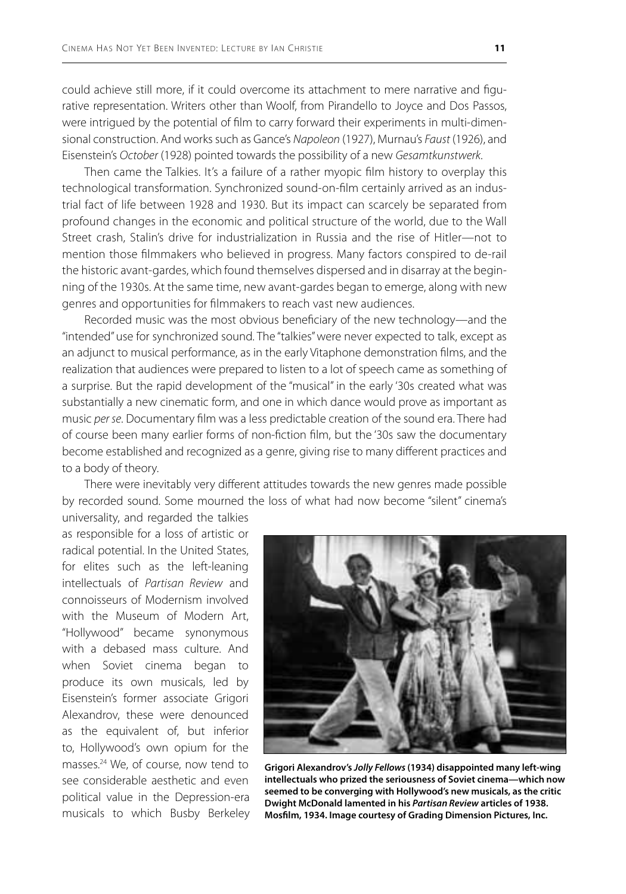could achieve still more, if it could overcome its attachment to mere narrative and figurative representation. Writers other than Woolf, from Pirandello to Joyce and Dos Passos, were intrigued by the potential of film to carry forward their experiments in multi-dimensional construction. And works such as Gance's *Napoleon* (1927), Murnau's *Faust* (1926), and Eisenstein's *October* (1928) pointed towards the possibility of a new *Gesamtkunstwerk*.

Then came the Talkies. It's a failure of a rather myopic film history to overplay this technological transformation. Synchronized sound-on-film certainly arrived as an industrial fact of life between 1928 and 1930. But its impact can scarcely be separated from profound changes in the economic and political structure of the world, due to the Wall Street crash, Stalin's drive for industrialization in Russia and the rise of Hitler—not to mention those filmmakers who believed in progress. Many factors conspired to de-rail the historic avant-gardes, which found themselves dispersed and in disarray at the beginning of the 1930s. At the same time, new avant-gardes began to emerge, along with new genres and opportunities for filmmakers to reach vast new audiences.

Recorded music was the most obvious beneficiary of the new technology—and the "intended" use for synchronized sound. The "talkies" were never expected to talk, except as an adjunct to musical performance, as in the early Vitaphone demonstration films, and the realization that audiences were prepared to listen to a lot of speech came as something of a surprise. But the rapid development of the "musical" in the early '30s created what was substantially a new cinematic form, and one in which dance would prove as important as music *per se*. Documentary film was a less predictable creation of the sound era. There had of course been many earlier forms of non-fiction film, but the '30s saw the documentary become established and recognized as a genre, giving rise to many different practices and to a body of theory.

There were inevitably very different attitudes towards the new genres made possible by recorded sound. Some mourned the loss of what had now become "silent" cinema's

universality, and regarded the talkies as responsible for a loss of artistic or radical potential. In the United States, for elites such as the left-leaning intellectuals of *Partisan Review* and connoisseurs of Modernism involved with the Museum of Modern Art, "Hollywood" became synonymous with a debased mass culture. And when Soviet cinema began to produce its own musicals, led by Eisenstein's former associate Grigori Alexandrov, these were denounced as the equivalent of, but inferior to, Hollywood's own opium for the masses.<sup>24</sup> We, of course, now tend to see considerable aesthetic and even political value in the Depression-era musicals to which Busby Berkeley



**Grigori Alexandrov's** *Jolly Fellows* **(1934) disappointed many left-wing intellectuals who prized the seriousness of Soviet cinema—which now seemed to be converging with Hollywood's new musicals, as the critic Dwight McDonald lamented in his** *Partisan Review* **articles of 1938. Mosfilm, 1934. Image courtesy of Grading Dimension Pictures, Inc.**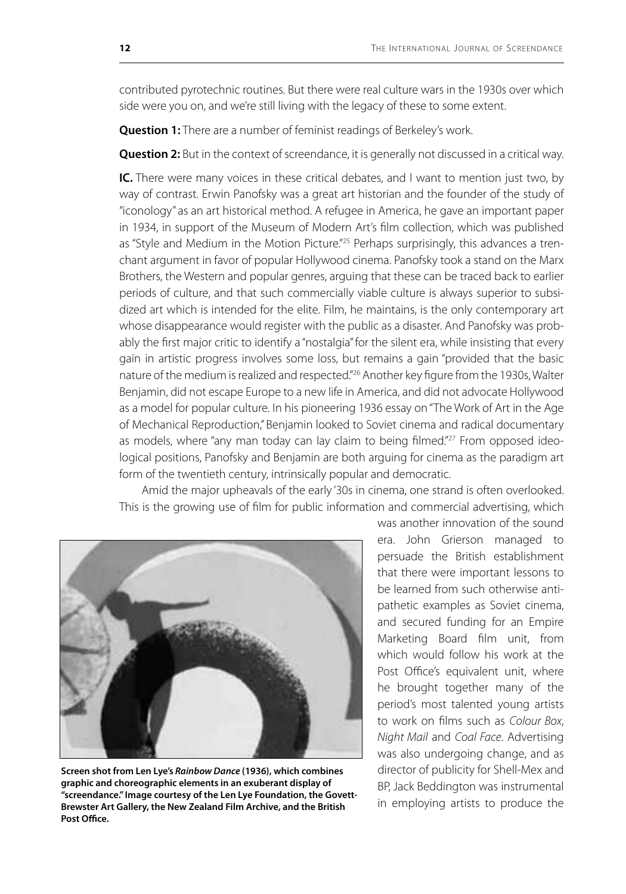contributed pyrotechnic routines. But there were real culture wars in the 1930s over which side were you on, and we're still living with the legacy of these to some extent.

**Question 1:** There are a number of feminist readings of Berkeley's work.

**Question 2:** But in the context of screendance, it is generally not discussed in a critical way.

**IC.** There were many voices in these critical debates, and I want to mention just two, by way of contrast. Erwin Panofsky was a great art historian and the founder of the study of "iconology" as an art historical method. A refugee in America, he gave an important paper in 1934, in support of the Museum of Modern Art's film collection, which was published as "Style and Medium in the Motion Picture."<sup>25</sup> Perhaps surprisingly, this advances a trenchant argument in favor of popular Hollywood cinema. Panofsky took a stand on the Marx Brothers, the Western and popular genres, arguing that these can be traced back to earlier periods of culture, and that such commercially viable culture is always superior to subsidized art which is intended for the elite. Film, he maintains, is the only contemporary art whose disappearance would register with the public as a disaster. And Panofsky was probably the first major critic to identify a "nostalgia" for the silent era, while insisting that every gain in artistic progress involves some loss, but remains a gain "provided that the basic nature of the medium is realized and respected."<sup>26</sup> Another key figure from the 1930s, Walter Benjamin, did not escape Europe to a new life in America, and did not advocate Hollywood as a model for popular culture. In his pioneering 1936 essay on "The Work of Art in the Age of Mechanical Reproduction," Benjamin looked to Soviet cinema and radical documentary as models, where "any man today can lay claim to being filmed."<sup>27</sup> From opposed ideological positions, Panofsky and Benjamin are both arguing for cinema as the paradigm art form of the twentieth century, intrinsically popular and democratic.

Amid the major upheavals of the early '30s in cinema, one strand is often overlooked. This is the growing use of film for public information and commercial advertising, which



**Screen shot from Len Lye's** *Rainbow Dance* **(1936), which combines graphic and choreographic elements in an exuberant display of "screendance." Image courtesy of the Len Lye Foundation, the Govett-Brewster Art Gallery, the New Zealand Film Archive, and the British Post Office.**

was another innovation of the sound era. John Grierson managed to persuade the British establishment that there were important lessons to be learned from such otherwise antipathetic examples as Soviet cinema, and secured funding for an Empire Marketing Board film unit, from which would follow his work at the Post Office's equivalent unit, where he brought together many of the period's most talented young artists to work on films such as *Colour Box*, *Night Mail* and *Coal Face*. Advertising was also undergoing change, and as director of publicity for Shell-Mex and BP, Jack Beddington was instrumental in employing artists to produce the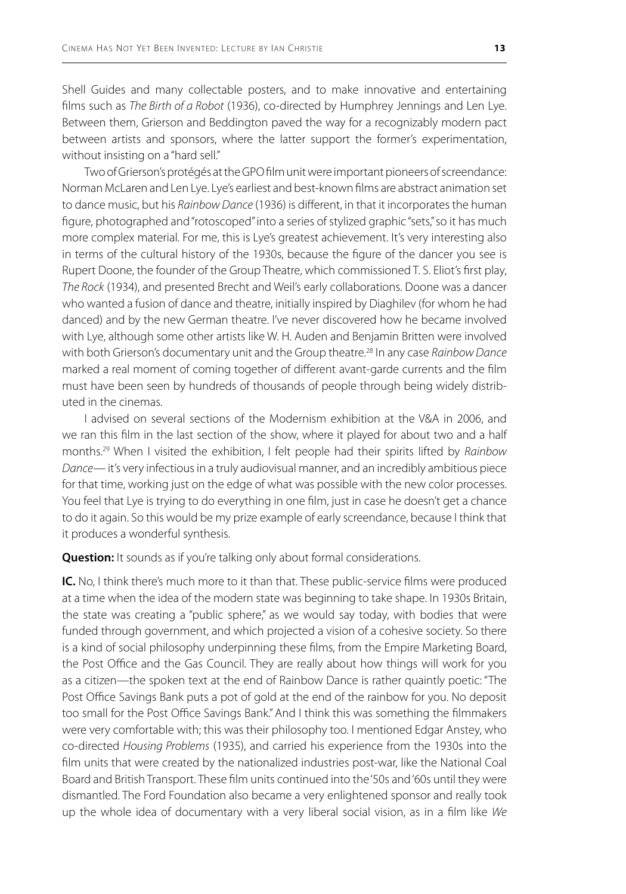Shell Guides and many collectable posters, and to make innovative and entertaining films such as *The Birth of a Robot* (1936), co-directed by Humphrey Jennings and Len Lye. Between them, Grierson and Beddington paved the way for a recognizably modern pact between artists and sponsors, where the latter support the former's experimentation, without insisting on a "hard sell."

Two of Grierson's protégés at the GPO film unit were important pioneers of screendance: Norman McLaren and Len Lye. Lye's earliest and best-known films are abstract animation set to dance music, but his *Rainbow Dance* (1936) is different, in that it incorporates the human figure, photographed and "rotoscoped" into a series of stylized graphic "sets," so it has much more complex material. For me, this is Lye's greatest achievement. It's very interesting also in terms of the cultural history of the 1930s, because the figure of the dancer you see is Rupert Doone, the founder of the Group Theatre, which commissioned T. S. Eliot's first play, *The Rock* (1934), and presented Brecht and Weil's early collaborations. Doone was a dancer who wanted a fusion of dance and theatre, initially inspired by Diaghilev (for whom he had danced) and by the new German theatre. I've never discovered how he became involved with Lye, although some other artists like W. H. Auden and Benjamin Britten were involved with both Grierson's documentary unit and the Group theatre.<sup>28</sup> In any case *Rainbow Dance* marked a real moment of coming together of different avant-garde currents and the film must have been seen by hundreds of thousands of people through being widely distributed in the cinemas.

I advised on several sections of the Modernism exhibition at the V&A in 2006, and we ran this film in the last section of the show, where it played for about two and a half months.29 When I visited the exhibition, I felt people had their spirits lifted by *Rainbow Dance—* it's very infectious in a truly audiovisual manner, and an incredibly ambitious piece for that time, working just on the edge of what was possible with the new color processes. You feel that Lye is trying to do everything in one film, just in case he doesn't get a chance to do it again. So this would be my prize example of early screendance, because I think that it produces a wonderful synthesis.

**Question:** It sounds as if you're talking only about formal considerations.

**IC.** No, I think there's much more to it than that. These public-service films were produced at a time when the idea of the modern state was beginning to take shape. In 1930s Britain, the state was creating a "public sphere," as we would say today, with bodies that were funded through government, and which projected a vision of a cohesive society. So there is a kind of social philosophy underpinning these films, from the Empire Marketing Board, the Post Office and the Gas Council. They are really about how things will work for you as a citizen—the spoken text at the end of Rainbow Dance is rather quaintly poetic: "The Post Office Savings Bank puts a pot of gold at the end of the rainbow for you. No deposit too small for the Post Office Savings Bank." And I think this was something the filmmakers were very comfortable with; this was their philosophy too. I mentioned Edgar Anstey, who co-directed *Housing Problems* (1935), and carried his experience from the 1930s into the film units that were created by the nationalized industries post-war, like the National Coal Board and British Transport. These film units continued into the '50s and '60s until they were dismantled. The Ford Foundation also became a very enlightened sponsor and really took up the whole idea of documentary with a very liberal social vision, as in a film like *We*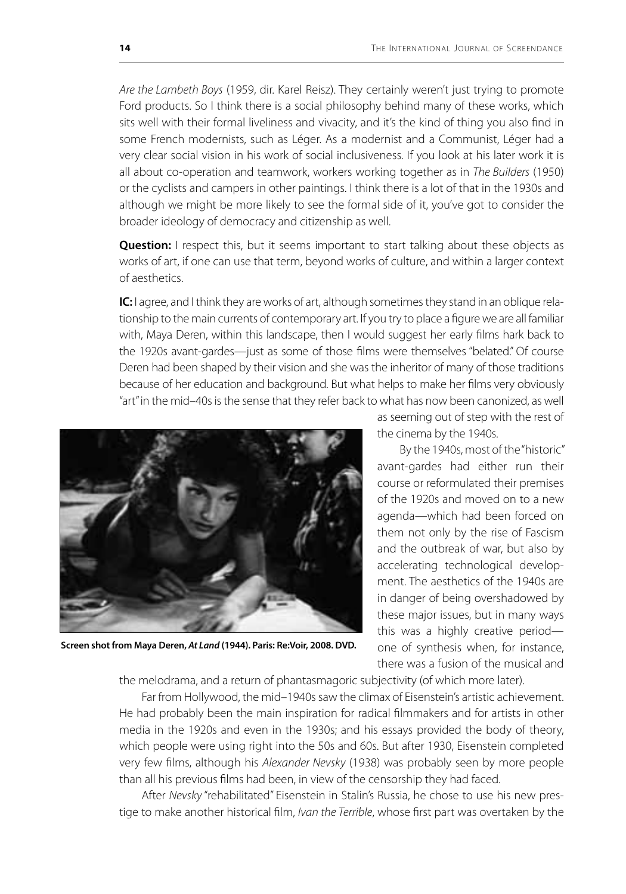*Are the Lambeth Boys* (1959, dir. Karel Reisz). They certainly weren't just trying to promote Ford products. So I think there is a social philosophy behind many of these works, which sits well with their formal liveliness and vivacity, and it's the kind of thing you also find in some French modernists, such as Léger. As a modernist and a Communist, Léger had a very clear social vision in his work of social inclusiveness. If you look at his later work it is all about co-operation and teamwork, workers working together as in *The Builders* (1950) or the cyclists and campers in other paintings. I think there is a lot of that in the 1930s and although we might be more likely to see the formal side of it, you've got to consider the broader ideology of democracy and citizenship as well.

**Question:** I respect this, but it seems important to start talking about these objects as works of art, if one can use that term, beyond works of culture, and within a larger context of aesthetics.

**IC:** I agree, and I think they are works of art, although sometimes they stand in an oblique relationship to the main currents of contemporary art. If you try to place a figure we are all familiar with, Maya Deren, within this landscape, then I would suggest her early films hark back to the 1920s avant-gardes—just as some of those films were themselves "belated." Of course Deren had been shaped by their vision and she was the inheritor of many of those traditions because of her education and background. But what helps to make her films very obviously "art" in the mid–40s is the sense that they refer back to what has now been canonized, as well



**Screen shot from Maya Deren,** *At Land* **(1944). Paris: Re:Voir, 2008. DVD.**

as seeming out of step with the rest of the cinema by the 1940s.

By the 1940s, most of the "historic" avant-gardes had either run their course or reformulated their premises of the 1920s and moved on to a new agenda—which had been forced on them not only by the rise of Fascism and the outbreak of war, but also by accelerating technological development. The aesthetics of the 1940s are in danger of being overshadowed by these major issues, but in many ways this was a highly creative period one of synthesis when, for instance, there was a fusion of the musical and

the melodrama, and a return of phantasmagoric subjectivity (of which more later).

Far from Hollywood, the mid–1940s saw the climax of Eisenstein's artistic achievement. He had probably been the main inspiration for radical filmmakers and for artists in other media in the 1920s and even in the 1930s; and his essays provided the body of theory, which people were using right into the 50s and 60s. But after 1930, Eisenstein completed very few films, although his *Alexander Nevsky* (1938) was probably seen by more people than all his previous films had been, in view of the censorship they had faced.

After *Nevsky* "rehabilitated" Eisenstein in Stalin's Russia, he chose to use his new prestige to make another historical film, *Ivan the Terrible*, whose first part was overtaken by the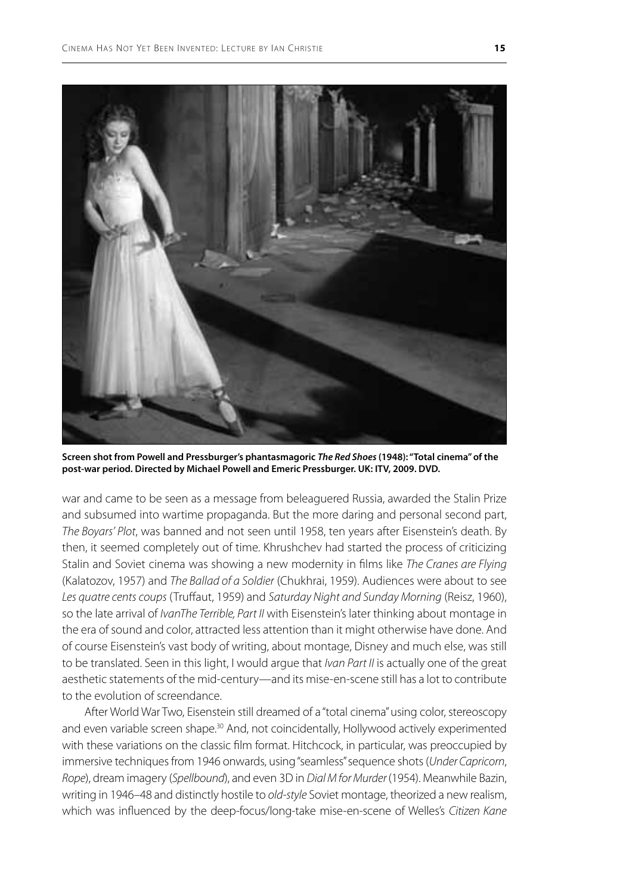

**Screen shot from Powell and Pressburger's phantasmagoric** *The Red Shoes* **(1948): "Total cinema" of the post-war period. Directed by Michael Powell and Emeric Pressburger. UK: ITV, 2009. DVD.**

war and came to be seen as a message from beleaguered Russia, awarded the Stalin Prize and subsumed into wartime propaganda. But the more daring and personal second part, *The Boyars' Plot*, was banned and not seen until 1958, ten years after Eisenstein's death. By then, it seemed completely out of time. Khrushchev had started the process of criticizing Stalin and Soviet cinema was showing a new modernity in films like *The Cranes are Flying* (Kalatozov, 1957) and *The Ballad of a Soldier* (Chukhrai, 1959). Audiences were about to see *Les quatre cents coups* (Truffaut, 1959) and *Saturday Night and Sunday Morning* (Reisz, 1960), so the late arrival of *IvanThe Terrible, Part II* with Eisenstein's later thinking about montage in the era of sound and color, attracted less attention than it might otherwise have done. And of course Eisenstein's vast body of writing, about montage, Disney and much else, was still to be translated. Seen in this light, I would argue that *Ivan Part II* is actually one of the great aesthetic statements of the mid-century—and its mise-en-scene still has a lot to contribute to the evolution of screendance.

After World War Two, Eisenstein still dreamed of a "total cinema" using color, stereoscopy and even variable screen shape.<sup>30</sup> And, not coincidentally, Hollywood actively experimented with these variations on the classic film format. Hitchcock, in particular, was preoccupied by immersive techniques from 1946 onwards, using "seamless" sequence shots (*Under Capricorn*, *Rope*), dream imagery (*Spellbound*), and even 3D in *Dial M for Murder* (1954). Meanwhile Bazin, writing in 1946–48 and distinctly hostile to *old-style* Soviet montage, theorized a new realism, which was influenced by the deep-focus/long-take mise-en-scene of Welles's *Citizen Kane*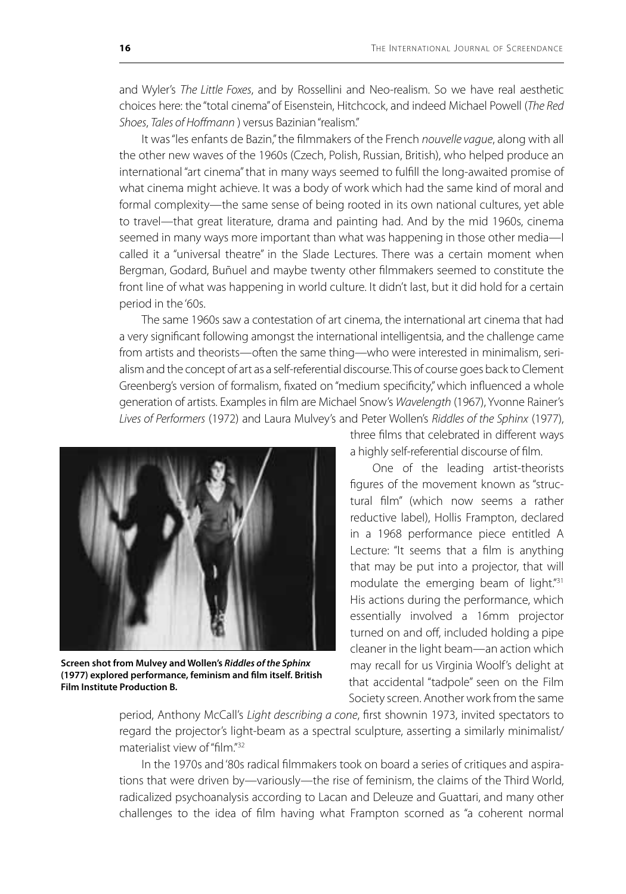and Wyler's *The Little Foxes*, and by Rossellini and Neo-realism. So we have real aesthetic choices here: the "total cinema" of Eisenstein, Hitchcock, and indeed Michael Powell (*The Red Shoes*, *Tales of Hoffmann* ) versus Bazinian "realism."

It was "les enfants de Bazin," the filmmakers of the French *nouvelle vague*, along with all the other new waves of the 1960s (Czech, Polish, Russian, British), who helped produce an international "art cinema" that in many ways seemed to fulfill the long-awaited promise of what cinema might achieve. It was a body of work which had the same kind of moral and formal complexity—the same sense of being rooted in its own national cultures, yet able to travel—that great literature, drama and painting had. And by the mid 1960s, cinema seemed in many ways more important than what was happening in those other media—I called it a "universal theatre" in the Slade Lectures. There was a certain moment when Bergman, Godard, Buñuel and maybe twenty other filmmakers seemed to constitute the front line of what was happening in world culture. It didn't last, but it did hold for a certain period in the '60s.

The same 1960s saw a contestation of art cinema, the international art cinema that had a very significant following amongst the international intelligentsia, and the challenge came from artists and theorists—often the same thing—who were interested in minimalism, serialism and the concept of art as a self-referential discourse. This of course goes back to Clement Greenberg's version of formalism, fixated on "medium specificity," which influenced a whole generation of artists. Examples in film are Michael Snow's *Wavelength* (1967), Yvonne Rainer's *Lives of Performers* (1972) and Laura Mulvey's and Peter Wollen's *Riddles of the Sphinx* (1977),



**Screen shot from Mulvey and Wollen's** *Riddles of the Sphinx*  **(1977) explored performance, feminism and film itself. British Film Institute Production B.**

three films that celebrated in different ways a highly self-referential discourse of film.

One of the leading artist-theorists figures of the movement known as "structural film" (which now seems a rather reductive label), Hollis Frampton, declared in a 1968 performance piece entitled A Lecture: "It seems that a film is anything that may be put into a projector, that will modulate the emerging beam of light."<sup>31</sup> His actions during the performance, which essentially involved a 16mm projector turned on and off, included holding a pipe cleaner in the light beam—an action which may recall for us Virginia Woolf's delight at that accidental "tadpole" seen on the Film Society screen. Another work from the same

period, Anthony McCall's *Light describing a cone*, first shownin 1973, invited spectators to regard the projector's light-beam as a spectral sculpture, asserting a similarly minimalist/ materialist view of "film."32

In the 1970s and '80s radical filmmakers took on board a series of critiques and aspirations that were driven by—variously—the rise of feminism, the claims of the Third World, radicalized psychoanalysis according to Lacan and Deleuze and Guattari, and many other challenges to the idea of film having what Frampton scorned as "a coherent normal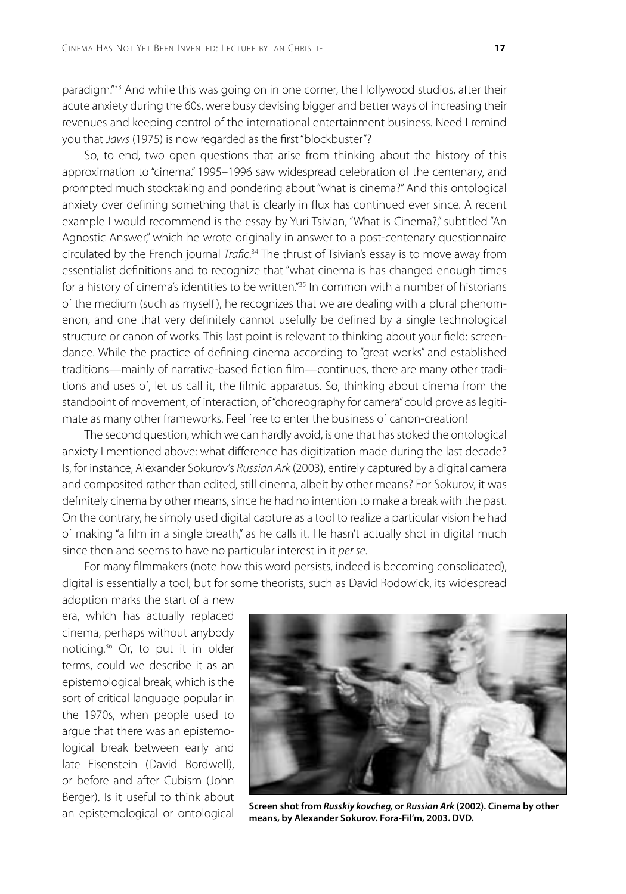paradigm."<sup>33</sup> And while this was going on in one corner, the Hollywood studios, after their acute anxiety during the 60s, were busy devising bigger and better ways of increasing their revenues and keeping control of the international entertainment business. Need I remind you that *Jaws* (1975) is now regarded as the first "blockbuster"?

So, to end, two open questions that arise from thinking about the history of this approximation to "cinema." 1995–1996 saw widespread celebration of the centenary, and prompted much stocktaking and pondering about "what is cinema?" And this ontological anxiety over defining something that is clearly in flux has continued ever since. A recent example I would recommend is the essay by Yuri Tsivian, "What is Cinema?," subtitled "An Agnostic Answer," which he wrote originally in answer to a post-centenary questionnaire circulated by the French journal *Trafic*.<sup>34</sup> The thrust of Tsivian's essay is to move away from essentialist definitions and to recognize that "what cinema is has changed enough times for a history of cinema's identities to be written."<sup>35</sup> In common with a number of historians of the medium (such as myself), he recognizes that we are dealing with a plural phenomenon, and one that very definitely cannot usefully be defined by a single technological structure or canon of works. This last point is relevant to thinking about your field: screendance. While the practice of defining cinema according to "great works" and established traditions—mainly of narrative-based fiction film—continues, there are many other traditions and uses of, let us call it, the filmic apparatus. So, thinking about cinema from the standpoint of movement, of interaction, of "choreography for camera" could prove as legitimate as many other frameworks. Feel free to enter the business of canon-creation!

The second question, which we can hardly avoid, is one that has stoked the ontological anxiety I mentioned above: what difference has digitization made during the last decade? Is, for instance, Alexander Sokurov's *Russian Ark* (2003), entirely captured by a digital camera and composited rather than edited, still cinema, albeit by other means? For Sokurov, it was definitely cinema by other means, since he had no intention to make a break with the past. On the contrary, he simply used digital capture as a tool to realize a particular vision he had of making "a film in a single breath," as he calls it. He hasn't actually shot in digital much since then and seems to have no particular interest in it *per se*.

For many filmmakers (note how this word persists, indeed is becoming consolidated), digital is essentially a tool; but for some theorists, such as David Rodowick, its widespread

adoption marks the start of a new era, which has actually replaced cinema, perhaps without anybody noticing.36 Or, to put it in older terms, could we describe it as an epistemological break, which is the sort of critical language popular in the 1970s, when people used to argue that there was an epistemological break between early and late Eisenstein (David Bordwell), or before and after Cubism (John Berger). Is it useful to think about



an epistemological or ontological **Screen shot from** *Russkiy kovcheg,* **or** *Russian Ark* **(2002). Cinema by other means, by Alexander Sokurov. Fora-Fil'm, 2003. DVD.**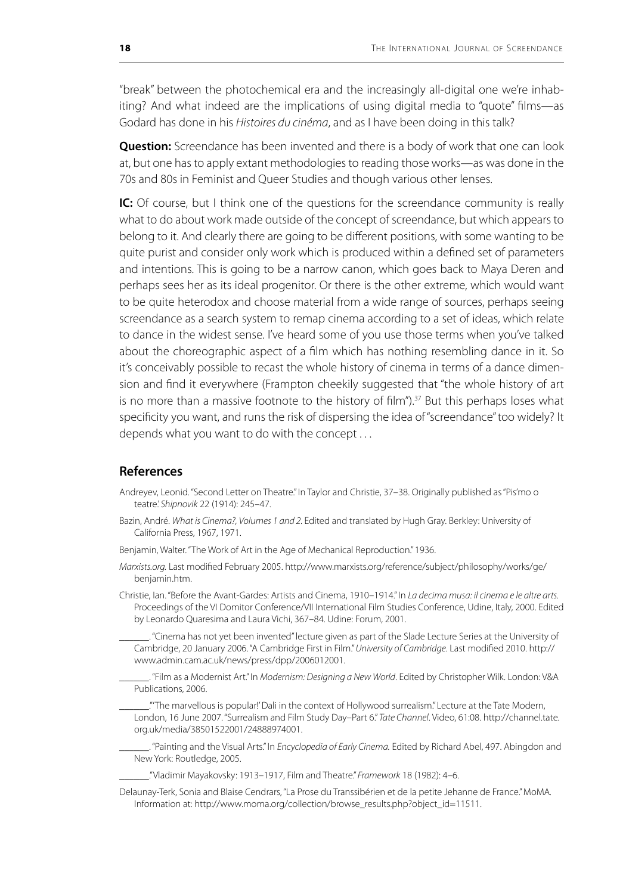"break" between the photochemical era and the increasingly all-digital one we're inhabiting? And what indeed are the implications of using digital media to "quote" films—as Godard has done in his *Histoires du cinéma*, and as I have been doing in this talk?

**Question:** Screendance has been invented and there is a body of work that one can look at, but one has to apply extant methodologies to reading those works—as was done in the 70s and 80s in Feminist and Queer Studies and though various other lenses.

**IC:** Of course, but I think one of the questions for the screendance community is really what to do about work made outside of the concept of screendance, but which appears to belong to it. And clearly there are going to be different positions, with some wanting to be quite purist and consider only work which is produced within a defined set of parameters and intentions. This is going to be a narrow canon, which goes back to Maya Deren and perhaps sees her as its ideal progenitor. Or there is the other extreme, which would want to be quite heterodox and choose material from a wide range of sources, perhaps seeing screendance as a search system to remap cinema according to a set of ideas, which relate to dance in the widest sense. I've heard some of you use those terms when you've talked about the choreographic aspect of a film which has nothing resembling dance in it. So it's conceivably possible to recast the whole history of cinema in terms of a dance dimension and find it everywhere (Frampton cheekily suggested that "the whole history of art is no more than a massive footnote to the history of film"). $37$  But this perhaps loses what specificity you want, and runs the risk of dispersing the idea of "screendance" too widely? It depends what you want to do with the concept . . .

## **References**

- Andreyev, Leonid. "Second Letter on Theatre." In Taylor and Christie, 37–38. Originally published as "Pis'mo o teatre.' *Shipnovik* 22 (1914): 245–47.
- Bazin, André. *What is Cinema?, Volumes 1 and 2.* Edited and translated by Hugh Gray. Berkley: University of California Press, 1967, 1971.
- Benjamin, Walter. "The Work of Art in the Age of Mechanical Reproduction." 1936.
- *Marxists.org.* Last modified February 2005. http://www.marxists.org/reference/subject/philosophy/works/ge/ benjamin.htm.
- Christie, Ian. "Before the Avant-Gardes: Artists and Cinema, 1910–1914." In *La decima musa: il cinema e le altre arts.* Proceedings of the VI Domitor Conference/VII International Film Studies Conference, Udine, Italy, 2000. Edited by Leonardo Quaresima and Laura Vichi, 367–84. Udine: Forum, 2001.

\_\_\_\_\_\_. "Cinema has not yet been invented" lecture given as part of the Slade Lecture Series at the University of Cambridge, 20 January 2006. "A Cambridge First in Film." *University of Cambridge*. Last modified 2010. http:// www.admin.cam.ac.uk/news/press/dpp/2006012001.

\_\_\_\_\_\_. "Film as a Modernist Art." In *Modernism: Designing a New World*. Edited by Christopher Wilk. London: V&A Publications, 2006.

\_\_\_\_\_\_."'The marvellous is popular!' Dali in the context of Hollywood surrealism." Lecture at the Tate Modern, London, 16 June 2007. "Surrealism and Film Study Day–Part 6." *Tate Channel*. Video, 61:08. http://channel.tate. org.uk/media/38501522001/24888974001.

\_\_\_\_\_\_. "Painting and the Visual Arts." In *Encyclopedia of Early Cinema.* Edited by Richard Abel, 497. Abingdon and New York: Routledge, 2005.

\_\_\_\_\_\_."Vladimir Mayakovsky: 1913–1917, Film and Theatre." *Framework* 18 (1982): 4–6.

Delaunay-Terk, Sonia and Blaise Cendrars, "La Prose du Transsibérien et de la petite Jehanne de France." MoMA*.*  Information at: http://www.moma.org/collection/browse\_results.php?object\_id=11511.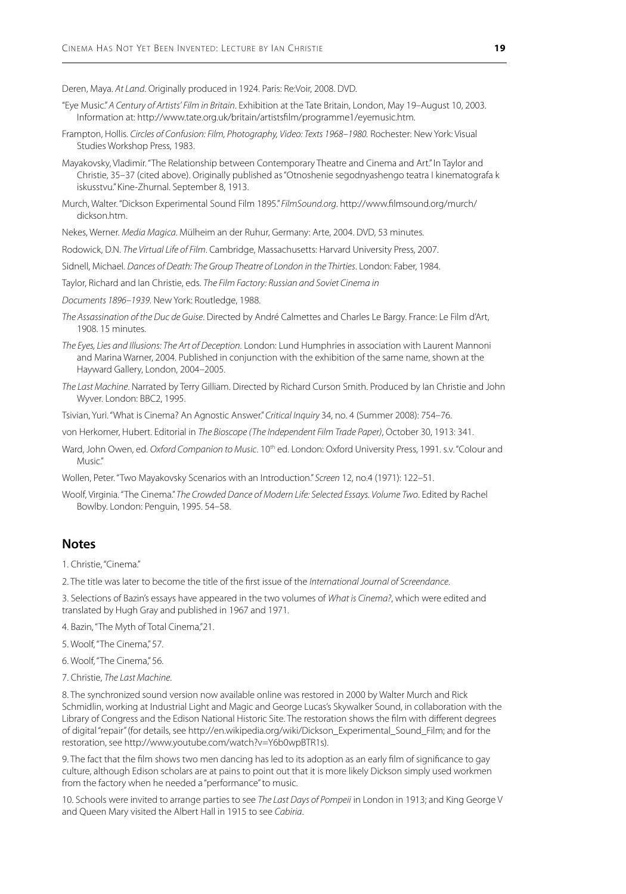Deren, Maya. *At Land*. Originally produced in 1924. Paris: Re:Voir, 2008. DVD.

- "Eye Music." *A Century of Artists' Film in Britain*. Exhibition at the Tate Britain, London, May 19–August 10, 2003. Information at: http://www.tate.org.uk/britain/artistsfilm/programme1/eyemusic.htm.
- Frampton, Hollis. *Circles of Confusion: Film, Photography, Video: Texts 1968–1980.* Rochester: New York: Visual Studies Workshop Press, 1983.
- Mayakovsky, Vladimir. "The Relationship between Contemporary Theatre and Cinema and Art." In Taylor and Christie, 35–37 (cited above). Originally published as "Otnoshenie segodnyashengo teatra I kinematografa k iskusstvu." Kine-Zhurnal. September 8, 1913.
- Murch, Walter. "Dickson Experimental Sound Film 1895." *FilmSound.org*. http://www.filmsound.org/murch/ dickson.htm.

Nekes, Werner. *Media Magica*. Mülheim an der Ruhur, Germany: Arte, 2004. DVD, 53 minutes.

- Rodowick, D.N. *The Virtual Life of Film*. Cambridge, Massachusetts: Harvard University Press, 2007.
- Sidnell, Michael. *Dances of Death: The Group Theatre of London in the Thirties*. London: Faber, 1984.
- Taylor, Richard and Ian Christie, eds. *The Film Factory: Russian and Soviet Cinema in*
- *Documents 1896–1939*. New York: Routledge, 1988.
- *The Assassination of the Duc de Guise*. Directed by André Calmettes and Charles Le Bargy. France: Le Film d'Art, 1908. 15 minutes.
- *The Eyes, Lies and Illusions: The Art of Deception*. London: Lund Humphries in association with Laurent Mannoni and Marina Warner, 2004. Published in conjunction with the exhibition of the same name, shown at the Hayward Gallery, London, 2004–2005.
- *The Last Machine*. Narrated by Terry Gilliam. Directed by Richard Curson Smith. Produced by Ian Christie and John Wyver. London: BBC2, 1995.
- Tsivian, Yuri. "What is Cinema? An Agnostic Answer." *Critical Inquiry* 34, no. 4 (Summer 2008): 754–76.

von Herkomer, Hubert. Editorial in *The Bioscope (The Independent Film Trade Paper)*, October 30, 1913: 341.

- Ward, John Owen, ed. Oxford Companion to Music. 10<sup>th</sup> ed. London: Oxford University Press, 1991. s.v. "Colour and Music."
- Wollen, Peter. "Two Mayakovsky Scenarios with an Introduction." *Screen* 12, no.4 (1971): 122–51.
- Woolf, Virginia. "The Cinema." *The Crowded Dance of Modern Life: Selected Essays. Volume Two*. Edited by Rachel Bowlby. London: Penguin, 1995. 54–58.

## **Notes**

1. Christie, "Cinema."

2. The title was later to become the title of the first issue of the *International Journal of Screendance*.

3. Selections of Bazin's essays have appeared in the two volumes of *What is Cinema?*, which were edited and translated by Hugh Gray and published in 1967 and 1971.

- 4. Bazin, "The Myth of Total Cinema,"21.
- 5. Woolf, "The Cinema," 57.
- 6. Woolf, "The Cinema," 56.
- 7. Christie, *The Last Machine*.

8. The synchronized sound version now available online was restored in 2000 by Walter Murch and Rick Schmidlin, working at Industrial Light and Magic and George Lucas's Skywalker Sound, in collaboration with the Library of Congress and the Edison National Historic Site. The restoration shows the film with different degrees of digital "repair" (for details, see http://en.wikipedia.org/wiki/Dickson\_Experimental\_Sound\_Film; and for the restoration, see http://www.youtube.com/watch?v=Y6b0wpBTR1s).

9. The fact that the film shows two men dancing has led to its adoption as an early film of significance to gay culture, although Edison scholars are at pains to point out that it is more likely Dickson simply used workmen from the factory when he needed a "performance" to music.

10. Schools were invited to arrange parties to see *The Last Days of Pompeii* in London in 1913; and King George V and Queen Mary visited the Albert Hall in 1915 to see *Cabiria*.